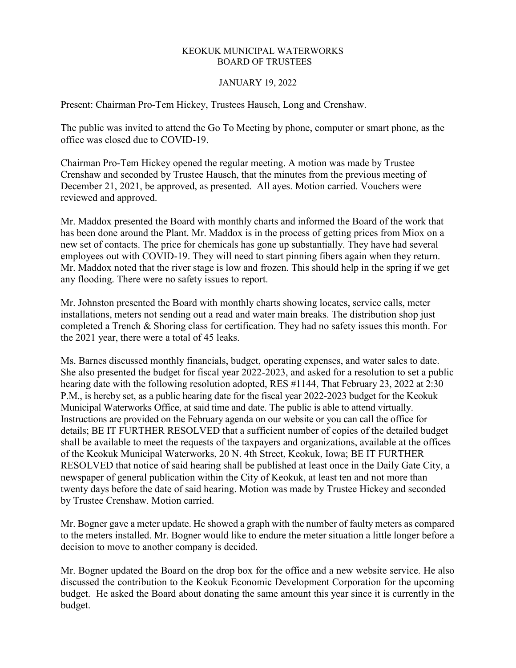## KEOKUK MUNICIPAL WATERWORKS BOARD OF TRUSTEES

## JANUARY 19, 2022

Present: Chairman Pro-Tem Hickey, Trustees Hausch, Long and Crenshaw.

The public was invited to attend the Go To Meeting by phone, computer or smart phone, as the office was closed due to COVID-19.

Chairman Pro-Tem Hickey opened the regular meeting. A motion was made by Trustee Crenshaw and seconded by Trustee Hausch, that the minutes from the previous meeting of December 21, 2021, be approved, as presented. All ayes. Motion carried. Vouchers were reviewed and approved.

Mr. Maddox presented the Board with monthly charts and informed the Board of the work that has been done around the Plant. Mr. Maddox is in the process of getting prices from Miox on a new set of contacts. The price for chemicals has gone up substantially. They have had several employees out with COVID-19. They will need to start pinning fibers again when they return. Mr. Maddox noted that the river stage is low and frozen. This should help in the spring if we get any flooding. There were no safety issues to report.

Mr. Johnston presented the Board with monthly charts showing locates, service calls, meter installations, meters not sending out a read and water main breaks. The distribution shop just completed a Trench & Shoring class for certification. They had no safety issues this month. For the 2021 year, there were a total of 45 leaks.

Ms. Barnes discussed monthly financials, budget, operating expenses, and water sales to date. She also presented the budget for fiscal year 2022-2023, and asked for a resolution to set a public hearing date with the following resolution adopted, RES #1144, That February 23, 2022 at 2:30 P.M., is hereby set, as a public hearing date for the fiscal year 2022-2023 budget for the Keokuk Municipal Waterworks Office, at said time and date. The public is able to attend virtually. Instructions are provided on the February agenda on our website or you can call the office for details; BE IT FURTHER RESOLVED that a sufficient number of copies of the detailed budget shall be available to meet the requests of the taxpayers and organizations, available at the offices of the Keokuk Municipal Waterworks, 20 N. 4th Street, Keokuk, Iowa; BE IT FURTHER RESOLVED that notice of said hearing shall be published at least once in the Daily Gate City, a newspaper of general publication within the City of Keokuk, at least ten and not more than twenty days before the date of said hearing. Motion was made by Trustee Hickey and seconded by Trustee Crenshaw. Motion carried.

Mr. Bogner gave a meter update. He showed a graph with the number of faulty meters as compared to the meters installed. Mr. Bogner would like to endure the meter situation a little longer before a decision to move to another company is decided.

Mr. Bogner updated the Board on the drop box for the office and a new website service. He also discussed the contribution to the Keokuk Economic Development Corporation for the upcoming budget. He asked the Board about donating the same amount this year since it is currently in the budget.